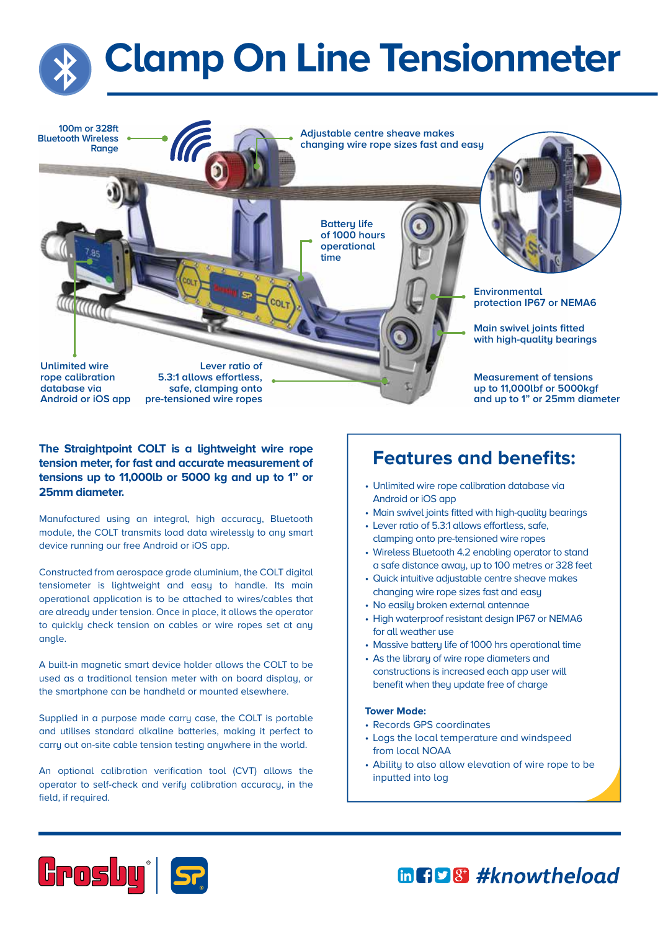



## **Features and benefits: The Straightpoint COLT is a lightweight wire rope tension meter, for fast and accurate measurement of tensions up to 11,000lb or 5000 kg and up to 1" or 25mm diameter.**

Manufactured using an integral, high accuracy, Bluetooth module, the COLT transmits load data wirelessly to any smart device running our free Android or iOS app.

Constructed from aerospace grade aluminium, the COLT digital tensiometer is lightweight and easy to handle. Its main operational application is to be attached to wires/cables that are already under tension. Once in place, it allows the operator to quickly check tension on cables or wire ropes set at any angle.

A built-in magnetic smart device holder allows the COLT to be used as a traditional tension meter with on board display, or the smartphone can be handheld or mounted elsewhere.

Supplied in a purpose made carry case, the COLT is portable and utilises standard alkaline batteries, making it perfect to carry out on-site cable tension testing anywhere in the world.

An optional calibration verification tool (CVT) allows the operator to self-check and verify calibration accuracy, in the field, if required.

- Unlimited wire rope calibration database via Android or iOS app
- Main swivel joints fitted with high-quality bearings
- Lever ratio of 5.3:1 allows effortless, safe, clamping onto pre-tensioned wire ropes
- Wireless Bluetooth 4.2 enabling operator to stand a safe distance away, up to 100 metres or 328 feet
- Quick intuitive adjustable centre sheave makes changing wire rope sizes fast and easy
- No easily broken external antennae
- High waterproof resistant design IP67 or NEMA6 for all weather use
- Massive battery life of 1000 hrs operational time
- As the libraru of wire rope diameters and constructions is increased each app user will benefit when they update free of charge

#### **Tower Mode:**

- Records GPS coordinates
- Logs the local temperature and windspeed from local NOAA
- Abilitu to also allow elevation of wire rope to be inputted into log



in Fig 8 #knowtheload